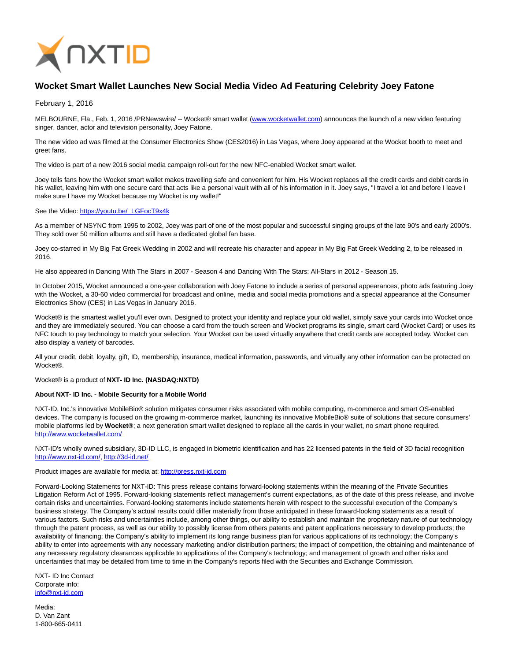

## **Wocket Smart Wallet Launches New Social Media Video Ad Featuring Celebrity Joey Fatone**

February 1, 2016

MELBOURNE, Fla., Feb. 1, 2016 /PRNewswire/ -- Wocket® smart wallet [\(www.wocketwallet.com\)](http://www.wocketwallet.com/) announces the launch of a new video featuring singer, dancer, actor and television personality, Joey Fatone.

The new video ad was filmed at the Consumer Electronics Show (CES2016) in Las Vegas, where Joey appeared at the Wocket booth to meet and greet fans.

The video is part of a new 2016 social media campaign roll-out for the new NFC-enabled Wocket smart wallet.

Joey tells fans how the Wocket smart wallet makes travelling safe and convenient for him. His Wocket replaces all the credit cards and debit cards in his wallet, leaving him with one secure card that acts like a personal vault with all of his information in it. Joey says, "I travel a lot and before I leave I make sure I have my Wocket because my Wocket is my wallet!"

## See the Video: [https://youtu.be/\\_LGFocT9x4k](https://youtu.be/_LGFocT9x4k)

As a member of NSYNC from 1995 to 2002, Joey was part of one of the most popular and successful singing groups of the late 90's and early 2000's. They sold over 50 million albums and still have a dedicated global fan base.

Joey co-starred in My Big Fat Greek Wedding in 2002 and will recreate his character and appear in My Big Fat Greek Wedding 2, to be released in 2016.

He also appeared in Dancing With The Stars in 2007 - Season 4 and Dancing With The Stars: All-Stars in 2012 - Season 15.

In October 2015, Wocket announced a one-year collaboration with Joey Fatone to include a series of personal appearances, photo ads featuring Joey with the Wocket, a 30-60 video commercial for broadcast and online, media and social media promotions and a special appearance at the Consumer Electronics Show (CES) in Las Vegas in January 2016.

Wocket® is the smartest wallet you'll ever own. Designed to protect your identity and replace your old wallet, simply save your cards into Wocket once and they are immediately secured. You can choose a card from the touch screen and Wocket programs its single, smart card (Wocket Card) or uses its NFC touch to pay technology to match your selection. Your Wocket can be used virtually anywhere that credit cards are accepted today. Wocket can also display a variety of barcodes.

All your credit, debit, loyalty, gift, ID, membership, insurance, medical information, passwords, and virtually any other information can be protected on Wocket®.

Wocket® is a product of **NXT- ID Inc. (NASDAQ:NXTD)**

## **About NXT- ID Inc. - Mobile Security for a Mobile World**

NXT-ID, Inc.'s innovative MobileBio® solution mitigates consumer risks associated with mobile computing, m-commerce and smart OS-enabled devices. The company is focused on the growing m-commerce market, launching its innovative MobileBio® suite of solutions that secure consumers' mobile platforms led by **Wocket®**; a next generation smart wallet designed to replace all the cards in your wallet, no smart phone required. <http://www.wocketwallet.com/>

NXT-ID's wholly owned subsidiary, 3D-ID LLC, is engaged in biometric identification and has 22 licensed patents in the field of 3D facial recognition [http://www.nxt-id.com/,](http://www.nxt-id.com/)<http://3d-id.net/>

Product images are available for media at: [http://press.nxt-id.com](http://press.nxt-id.com/)

Forward-Looking Statements for NXT-ID: This press release contains forward-looking statements within the meaning of the Private Securities Litigation Reform Act of 1995. Forward-looking statements reflect management's current expectations, as of the date of this press release, and involve certain risks and uncertainties. Forward-looking statements include statements herein with respect to the successful execution of the Company's business strategy. The Company's actual results could differ materially from those anticipated in these forward-looking statements as a result of various factors. Such risks and uncertainties include, among other things, our ability to establish and maintain the proprietary nature of our technology through the patent process, as well as our ability to possibly license from others patents and patent applications necessary to develop products; the availability of financing; the Company's ability to implement its long range business plan for various applications of its technology; the Company's ability to enter into agreements with any necessary marketing and/or distribution partners; the impact of competition, the obtaining and maintenance of any necessary regulatory clearances applicable to applications of the Company's technology; and management of growth and other risks and uncertainties that may be detailed from time to time in the Company's reports filed with the Securities and Exchange Commission.

NXT- ID Inc Contact Corporate info: [info@nxt-id.com](mailto:info@nxt-id.com)

Media: D. Van Zant 1-800-665-0411